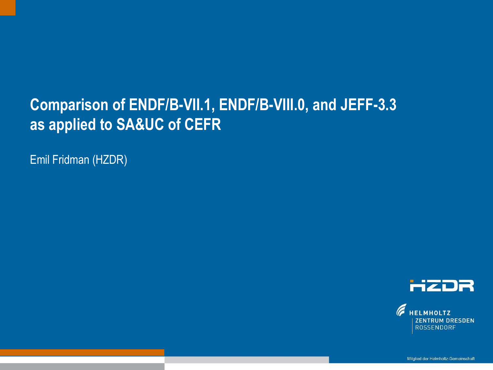#### **Comparison of ENDF/B-VII.1, ENDF/B-VIII.0, and JEFF-3.3 as applied to SA&UC of CEFR**

Text optional: Institutsname Prof. Dr. Hans Mustermann www.fzd.de Mitglied der Leibniz-Gemeinschaft

Emil Fridman (HZDR)



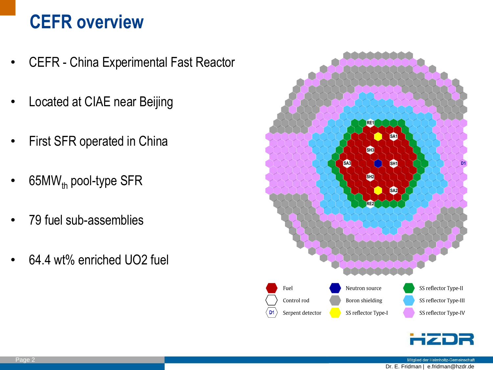# **CEFR overview**

- CEFR China Experimental Fast Reactor
- Located at CIAE near Beijing
- First SFR operated in China
- 65M $W_{th}$  pool-type SFR
- 79 fuel sub-assemblies
- 64.4 wt% enriched UO2 fuel



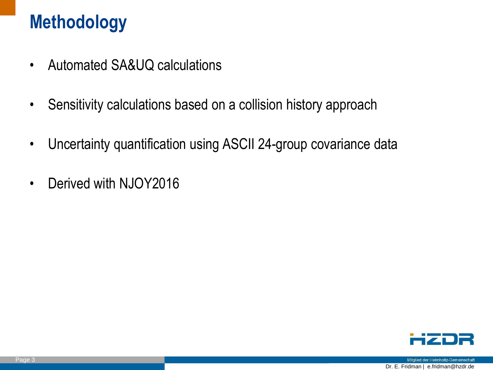# **Methodology**

- Automated SA&UQ calculations
- Sensitivity calculations based on a collision history approach
- Uncertainty quantification using ASCII 24-group covariance data
- Derived with NJOY2016

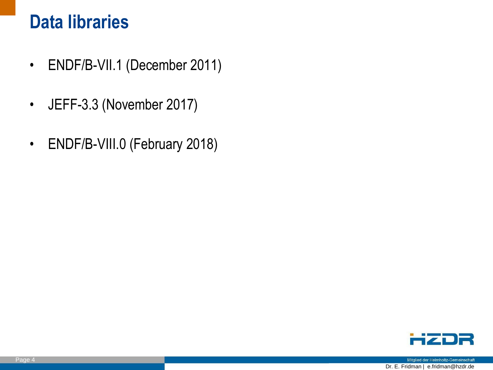#### **Data libraries**

- ENDF/B-VII.1 (December 2011)
- JEFF-3.3 (November 2017)
- ENDF/B-VIII.0 (February 2018)

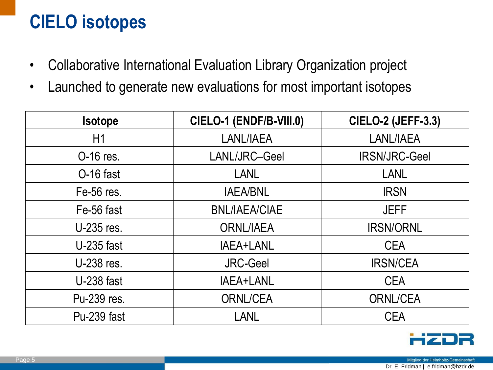# **CIELO isotopes**

- Collaborative International Evaluation Library Organization project
- Launched to generate new evaluations for most important isotopes

| <b>Isotope</b> | CIELO-1 (ENDF/B-VIII.0) | <b>CIELO-2 (JEFF-3.3)</b> |
|----------------|-------------------------|---------------------------|
| H1             | LANL/IAEA               | LANL/IAEA                 |
| O-16 res.      | LANL/JRC-Geel           | <b>IRSN/JRC-Geel</b>      |
| O-16 fast      | <b>LANL</b>             | <b>LANL</b>               |
| Fe-56 res.     | <b>IAEA/BNL</b>         | <b>IRSN</b>               |
| Fe-56 fast     | <b>BNL/IAEA/CIAE</b>    | <b>JEFF</b>               |
| U-235 res.     | <b>ORNL/IAEA</b>        | <b>IRSN/ORNL</b>          |
| U-235 fast     | IAEA+LANL               | <b>CEA</b>                |
| U-238 res.     | <b>JRC-Geel</b>         | <b>IRSN/CEA</b>           |
| U-238 fast     | IAEA+LANL               | <b>CEA</b>                |
| Pu-239 res.    | <b>ORNL/CEA</b>         | <b>ORNL/CEA</b>           |
| Pu-239 fast    | <b>LANL</b>             | <b>CEA</b>                |

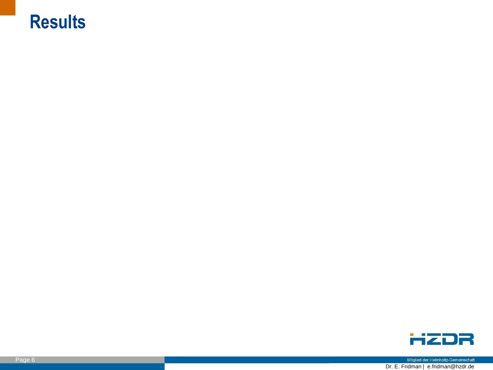#### **Results**



Mitglied der Helmholtz-Gemeinschaft Dr. E. Fridman | e.fridman@hzdr.de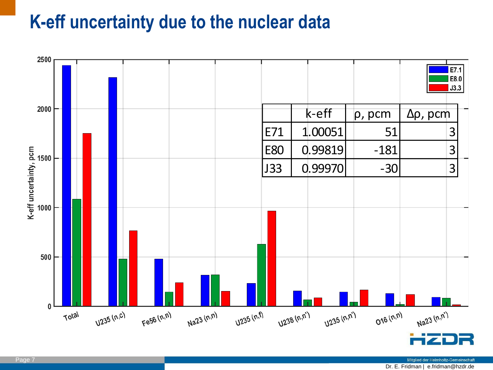#### **K-eff uncertainty due to the nuclear data**

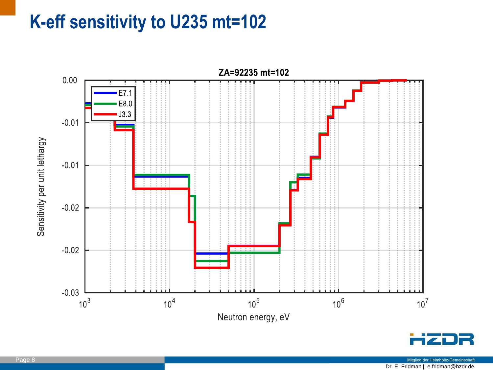### **K-eff sensitivity to U235 mt=102**

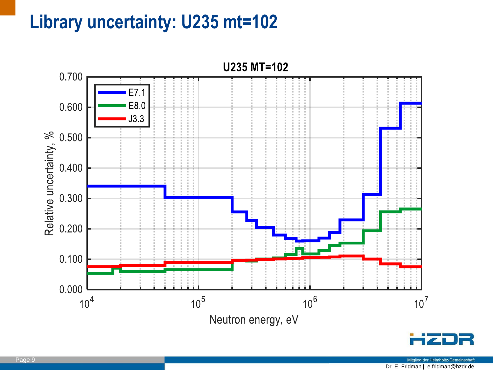# **Library uncertainty: U235 mt=102**



Mitglied der Helmholtz-Gemeinschaft Dr. E. Fridman | e.fridman@hzdr.de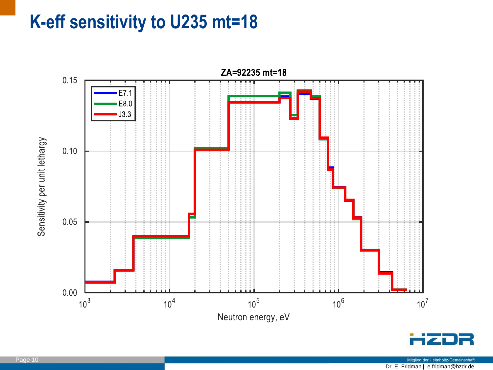### **K-eff sensitivity to U235 mt=18**

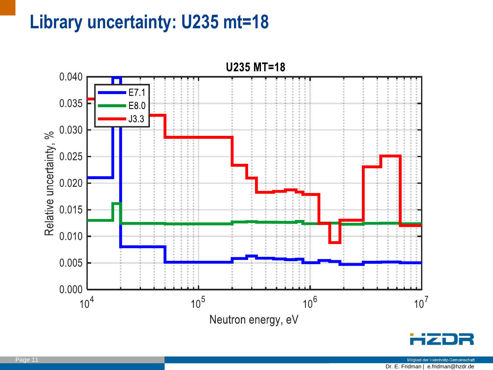# **Library uncertainty: U235 mt=18**

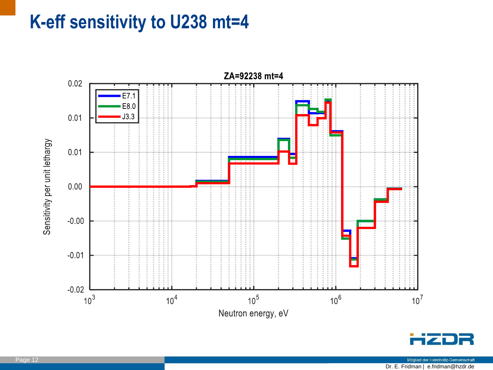#### **K-eff sensitivity to U238 mt=4**



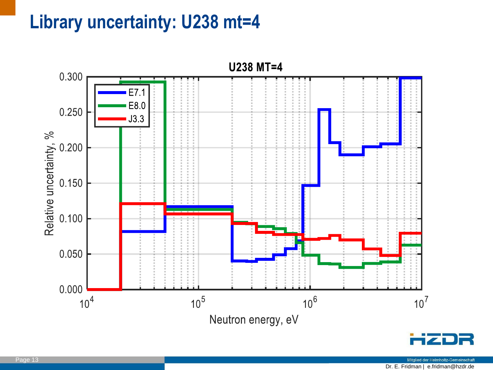# **Library uncertainty: U238 mt=4**